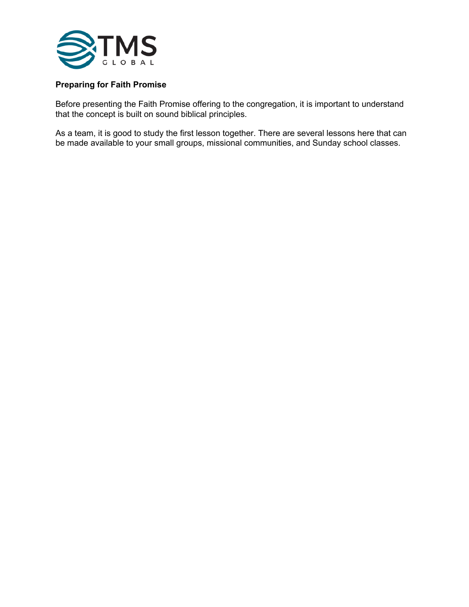

## **Preparing for Faith Promise**

Before presenting the Faith Promise offering to the congregation, it is important to understand that the concept is built on sound biblical principles.

As a team, it is good to study the first lesson together. There are several lessons here that can be made available to your small groups, missional communities, and Sunday school classes.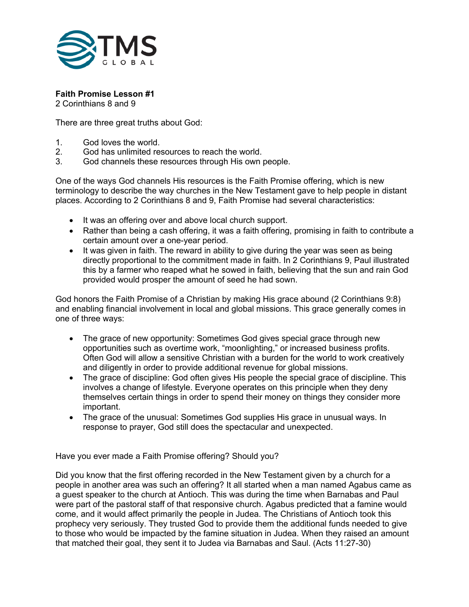

## **Faith Promise Lesson #1**

2 Corinthians 8 and 9

There are three great truths about God:

- 1. God loves the world.
- 2. God has unlimited resources to reach the world.
- 3. God channels these resources through His own people.

One of the ways God channels His resources is the Faith Promise offering, which is new terminology to describe the way churches in the New Testament gave to help people in distant places. According to 2 Corinthians 8 and 9, Faith Promise had several characteristics:

- It was an offering over and above local church support.
- Rather than being a cash offering, it was a faith offering, promising in faith to contribute a certain amount over a one-year period.
- It was given in faith. The reward in ability to give during the year was seen as being directly proportional to the commitment made in faith. In 2 Corinthians 9, Paul illustrated this by a farmer who reaped what he sowed in faith, believing that the sun and rain God provided would prosper the amount of seed he had sown.

God honors the Faith Promise of a Christian by making His grace abound (2 Corinthians 9:8) and enabling financial involvement in local and global missions. This grace generally comes in one of three ways:

- The grace of new opportunity: Sometimes God gives special grace through new opportunities such as overtime work, "moonlighting," or increased business profits. Often God will allow a sensitive Christian with a burden for the world to work creatively and diligently in order to provide additional revenue for global missions.
- The grace of discipline: God often gives His people the special grace of discipline. This involves a change of lifestyle. Everyone operates on this principle when they deny themselves certain things in order to spend their money on things they consider more important.
- The grace of the unusual: Sometimes God supplies His grace in unusual ways. In response to prayer, God still does the spectacular and unexpected.

Have you ever made a Faith Promise offering? Should you?

Did you know that the first offering recorded in the New Testament given by a church for a people in another area was such an offering? It all started when a man named Agabus came as a guest speaker to the church at Antioch. This was during the time when Barnabas and Paul were part of the pastoral staff of that responsive church. Agabus predicted that a famine would come, and it would affect primarily the people in Judea. The Christians of Antioch took this prophecy very seriously. They trusted God to provide them the additional funds needed to give to those who would be impacted by the famine situation in Judea. When they raised an amount that matched their goal, they sent it to Judea via Barnabas and Saul. (Acts 11:27-30)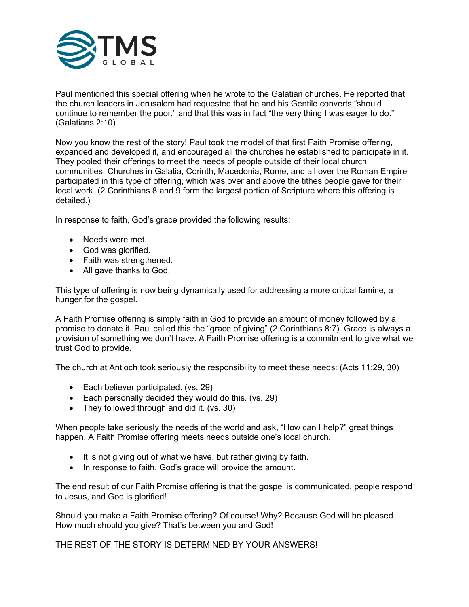

Paul mentioned this special offering when he wrote to the Galatian churches. He reported that the church leaders in Jerusalem had requested that he and his Gentile converts "should continue to remember the poor," and that this was in fact "the very thing I was eager to do." (Galatians 2:10)

Now you know the rest of the story! Paul took the model of that first Faith Promise offering, expanded and developed it, and encouraged all the churches he established to participate in it. They pooled their offerings to meet the needs of people outside of their local church communities. Churches in Galatia, Corinth, Macedonia, Rome, and all over the Roman Empire participated in this type of offering, which was over and above the tithes people gave for their local work. (2 Corinthians 8 and 9 form the largest portion of Scripture where this offering is detailed.)

In response to faith, God's grace provided the following results:

- Needs were met.
- God was glorified.
- Faith was strengthened.
- All gave thanks to God.

This type of offering is now being dynamically used for addressing a more critical famine, a hunger for the gospel.

A Faith Promise offering is simply faith in God to provide an amount of money followed by a promise to donate it. Paul called this the "grace of giving" (2 Corinthians 8:7). Grace is always a provision of something we don't have. A Faith Promise offering is a commitment to give what we trust God to provide.

The church at Antioch took seriously the responsibility to meet these needs: (Acts 11:29, 30)

- Each believer participated. (vs. 29)
- Each personally decided they would do this. (vs. 29)
- They followed through and did it. (vs. 30)

When people take seriously the needs of the world and ask, "How can I help?" great things happen. A Faith Promise offering meets needs outside one's local church.

- It is not giving out of what we have, but rather giving by faith.
- In response to faith, God's grace will provide the amount.

The end result of our Faith Promise offering is that the gospel is communicated, people respond to Jesus, and God is glorified!

Should you make a Faith Promise offering? Of course! Why? Because God will be pleased. How much should you give? That's between you and God!

THE REST OF THE STORY IS DETERMINED BY YOUR ANSWERS!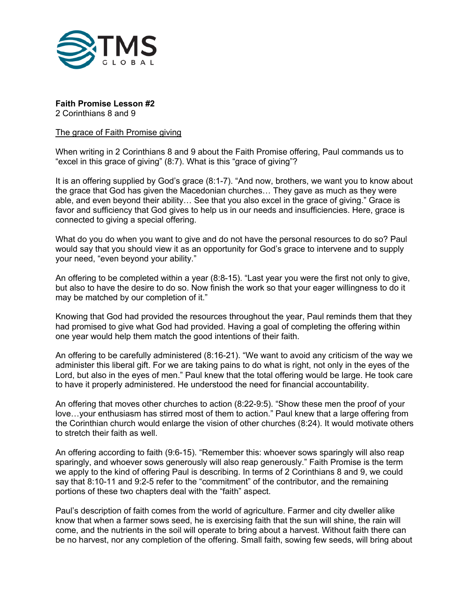

**Faith Promise Lesson #2**

2 Corinthians 8 and 9

## The grace of Faith Promise giving

When writing in 2 Corinthians 8 and 9 about the Faith Promise offering, Paul commands us to "excel in this grace of giving" (8:7). What is this "grace of giving"?

It is an offering supplied by God's grace (8:1-7). "And now, brothers, we want you to know about the grace that God has given the Macedonian churches… They gave as much as they were able, and even beyond their ability… See that you also excel in the grace of giving." Grace is favor and sufficiency that God gives to help us in our needs and insufficiencies. Here, grace is connected to giving a special offering.

What do you do when you want to give and do not have the personal resources to do so? Paul would say that you should view it as an opportunity for God's grace to intervene and to supply your need, "even beyond your ability."

An offering to be completed within a year (8:8-15). "Last year you were the first not only to give, but also to have the desire to do so. Now finish the work so that your eager willingness to do it may be matched by our completion of it."

Knowing that God had provided the resources throughout the year, Paul reminds them that they had promised to give what God had provided. Having a goal of completing the offering within one year would help them match the good intentions of their faith.

An offering to be carefully administered (8:16-21). "We want to avoid any criticism of the way we administer this liberal gift. For we are taking pains to do what is right, not only in the eyes of the Lord, but also in the eyes of men." Paul knew that the total offering would be large. He took care to have it properly administered. He understood the need for financial accountability.

An offering that moves other churches to action (8:22-9:5). "Show these men the proof of your love…your enthusiasm has stirred most of them to action." Paul knew that a large offering from the Corinthian church would enlarge the vision of other churches (8:24). It would motivate others to stretch their faith as well.

An offering according to faith (9:6-15). "Remember this: whoever sows sparingly will also reap sparingly, and whoever sows generously will also reap generously." Faith Promise is the term we apply to the kind of offering Paul is describing. In terms of 2 Corinthians 8 and 9, we could say that 8:10-11 and 9:2-5 refer to the "commitment" of the contributor, and the remaining portions of these two chapters deal with the "faith" aspect.

Paul's description of faith comes from the world of agriculture. Farmer and city dweller alike know that when a farmer sows seed, he is exercising faith that the sun will shine, the rain will come, and the nutrients in the soil will operate to bring about a harvest. Without faith there can be no harvest, nor any completion of the offering. Small faith, sowing few seeds, will bring about